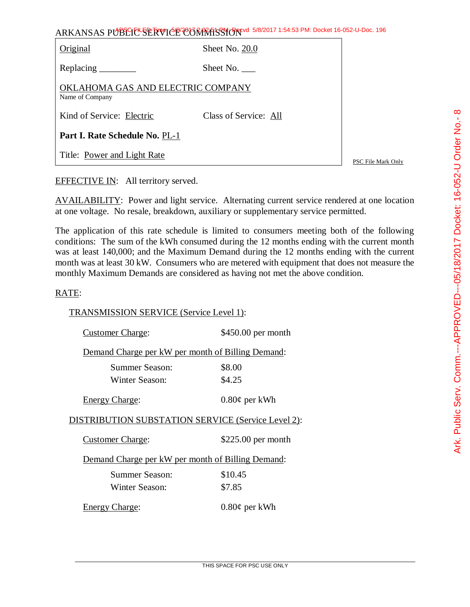| ARKANSAS PUBLIC SERVICE COMMISSION 5/8/2017 1:54:53 PM: Docket 16-052-U-Doc. 196 |                       |                           |  |
|----------------------------------------------------------------------------------|-----------------------|---------------------------|--|
| Original                                                                         | Sheet No. 20.0        |                           |  |
|                                                                                  | Sheet No. $\_\_$      |                           |  |
| OKLAHOMA GAS AND ELECTRIC COMPANY<br>Name of Company                             |                       |                           |  |
| Kind of Service: Electric                                                        | Class of Service: All |                           |  |
| Part I. Rate Schedule No. PL-1                                                   |                       |                           |  |
| Title: Power and Light Rate                                                      |                       | <b>PSC File Mark Only</b> |  |

EFFECTIVE IN: All territory served.

AVAILABILITY: Power and light service. Alternating current service rendered at one location at one voltage. No resale, breakdown, auxiliary or supplementary service permitted.

The application of this rate schedule is limited to consumers meeting both of the following conditions: The sum of the kWh consumed during the 12 months ending with the current month was at least 140,000; and the Maximum Demand during the 12 months ending with the current month was at least 30 kW. Consumers who are metered with equipment that does not measure the monthly Maximum Demands are considered as having not met the above condition.

## RATE:

TRANSMISSION SERVICE (Service Level 1):

| <b>Customer Charge:</b>                            | \$450.00 per month |  |
|----------------------------------------------------|--------------------|--|
| Demand Charge per kW per month of Billing Demand:  |                    |  |
| Summer Season:                                     | \$8.00             |  |
| Winter Season:                                     | \$4.25             |  |
| <b>Energy Charge:</b>                              | $0.80\phi$ per kWh |  |
| DISTRIBUTION SUBSTATION SERVICE (Service Level 2): |                    |  |
| <b>Customer Charge:</b>                            | \$225.00 per month |  |
| Demand Charge per kW per month of Billing Demand:  |                    |  |
| Summer Season:                                     | \$10.45            |  |
| Winter Season:                                     | \$7.85             |  |
| <b>Energy Charge:</b>                              | $0.80\phi$ per kWh |  |

 $\infty$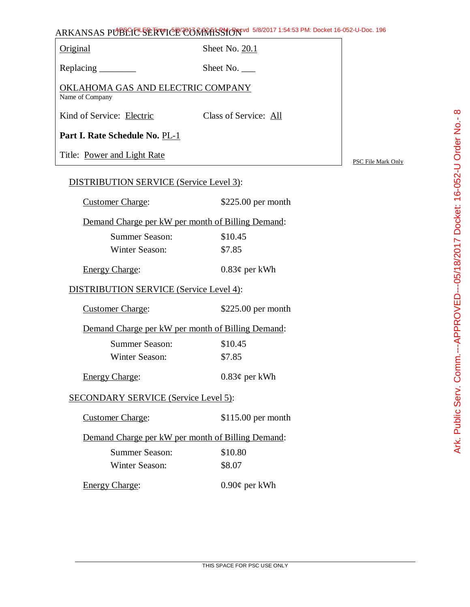## ARKANSAS PUBLIC SERVICE COMMISSION 5/8/2017 1:54:53 PM: Docket 16-052-U-Doc. 196

Original Sheet No. 20.1

Replacing \_\_\_\_\_\_\_\_\_\_ Sheet No. \_\_\_

OKLAHOMA GAS AND ELECTRIC COMPANY Name of Company

Kind of Service: Electric Class of Service: All

**Part I. Rate Schedule No.** PL-1

Title: Power and Light Rate

PSC File Mark Only

## DISTRIBUTION SERVICE (Service Level 3):

| DISTRIBUTION SERVICE (Service Level 3):           |                     |  |
|---------------------------------------------------|---------------------|--|
| <b>Customer Charge:</b>                           | $$225.00$ per month |  |
| Demand Charge per kW per month of Billing Demand: |                     |  |
| Summer Season:                                    | \$10.45             |  |
| <b>Winter Season:</b>                             | \$7.85              |  |
| <b>Energy Charge:</b>                             | $0.83\phi$ per kWh  |  |
| DISTRIBUTION SERVICE (Service Level 4):           |                     |  |
| <b>Customer Charge:</b>                           | $$225.00$ per month |  |
| Demand Charge per kW per month of Billing Demand: |                     |  |
| <b>Summer Season:</b>                             | \$10.45             |  |
| Winter Season:                                    | \$7.85              |  |
| <b>Energy Charge:</b>                             | $0.83\phi$ per kWh  |  |
| <b>SECONDARY SERVICE (Service Level 5):</b>       |                     |  |
| <b>Customer Charge:</b>                           | $$115.00$ per month |  |
| Demand Charge per kW per month of Billing Demand: |                     |  |
| <b>Summer Season:</b>                             | \$10.80             |  |

Winter Season: \$8.07

Energy Charge: 0.90¢ per kWh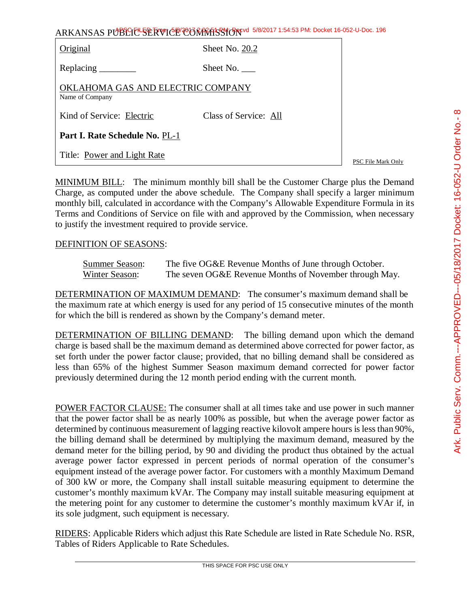| Original                                             | Sheet No. 20.2        |
|------------------------------------------------------|-----------------------|
| Replacing _______                                    | Sheet No.             |
| OKLAHOMA GAS AND ELECTRIC COMPANY<br>Name of Company |                       |
| Kind of Service: Electric                            | Class of Service: All |
| Part I. Rate Schedule No. PL-1                       |                       |

PSC File Mark Only

MINIMUM BILL: The minimum monthly bill shall be the Customer Charge plus the Demand Charge, as computed under the above schedule. The Company shall specify a larger minimum monthly bill, calculated in accordance with the Company's Allowable Expenditure Formula in its Terms and Conditions of Service on file with and approved by the Commission, when necessary to justify the investment required to provide service.

## DEFINITION OF SEASONS:

Title: Power and Light Rate

| <b>Summer Season:</b> | The five OG&E Revenue Months of June through October.  |
|-----------------------|--------------------------------------------------------|
| Winter Season:        | The seven OG&E Revenue Months of November through May. |

DETERMINATION OF MAXIMUM DEMAND: The consumer's maximum demand shall be the maximum rate at which energy is used for any period of 15 consecutive minutes of the month for which the bill is rendered as shown by the Company's demand meter.

DETERMINATION OF BILLING DEMAND: The billing demand upon which the demand charge is based shall be the maximum demand as determined above corrected for power factor, as set forth under the power factor clause; provided, that no billing demand shall be considered as less than 65% of the highest Summer Season maximum demand corrected for power factor previously determined during the 12 month period ending with the current month.

POWER FACTOR CLAUSE: The consumer shall at all times take and use power in such manner that the power factor shall be as nearly 100% as possible, but when the average power factor as determined by continuous measurement of lagging reactive kilovolt ampere hours is less than 90%, the billing demand shall be determined by multiplying the maximum demand, measured by the demand meter for the billing period, by 90 and dividing the product thus obtained by the actual average power factor expressed in percent periods of normal operation of the consumer's equipment instead of the average power factor. For customers with a monthly Maximum Demand of 300 kW or more, the Company shall install suitable measuring equipment to determine the customer's monthly maximum kVAr. The Company may install suitable measuring equipment at the metering point for any customer to determine the customer's monthly maximum kVAr if, in its sole judgment, such equipment is necessary.

RIDERS: Applicable Riders which adjust this Rate Schedule are listed in Rate Schedule No. RSR, Tables of Riders Applicable to Rate Schedules.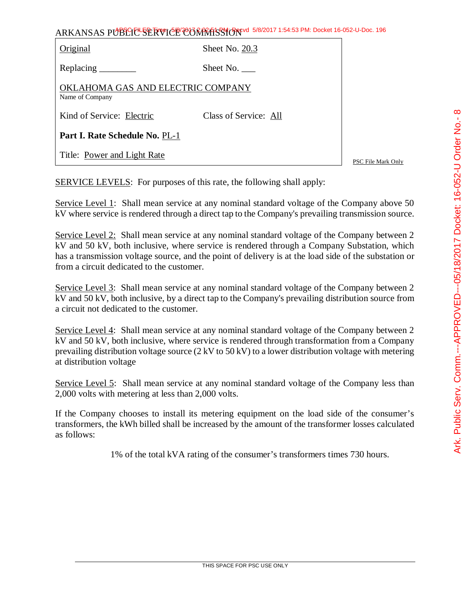| ARKANSAS PUBLICL SERVICE CORRATS TO 5/8/2017 1:54:53 PM: Docket 16-052-U-Doc. 196 |                       |                    |  |
|-----------------------------------------------------------------------------------|-----------------------|--------------------|--|
| Original                                                                          | Sheet No. 20.3        |                    |  |
| Replacing _________                                                               | Sheet No. $\_\_$      |                    |  |
| OKLAHOMA GAS AND ELECTRIC COMPANY<br>Name of Company                              |                       |                    |  |
| Kind of Service: Electric                                                         | Class of Service: All |                    |  |
| Part I. Rate Schedule No. PL-1                                                    |                       |                    |  |
| Title: Power and Light Rate                                                       |                       | PSC File Mark Only |  |

SERVICE LEVELS: For purposes of this rate, the following shall apply:

Service Level 1: Shall mean service at any nominal standard voltage of the Company above 50 kV where service is rendered through a direct tap to the Company's prevailing transmission source.

Service Level 2: Shall mean service at any nominal standard voltage of the Company between 2 kV and 50 kV, both inclusive, where service is rendered through a Company Substation, which has a transmission voltage source, and the point of delivery is at the load side of the substation or from a circuit dedicated to the customer.

Service Level 3: Shall mean service at any nominal standard voltage of the Company between 2 kV and 50 kV, both inclusive, by a direct tap to the Company's prevailing distribution source from a circuit not dedicated to the customer.

Service Level 4: Shall mean service at any nominal standard voltage of the Company between 2 kV and 50 kV, both inclusive, where service is rendered through transformation from a Company prevailing distribution voltage source  $(2 \text{ kV to } 50 \text{ kV})$  to a lower distribution voltage with metering at distribution voltage

Service Level 5: Shall mean service at any nominal standard voltage of the Company less than 2,000 volts with metering at less than 2,000 volts.

If the Company chooses to install its metering equipment on the load side of the consumer's transformers, the kWh billed shall be increased by the amount of the transformer losses calculated as follows:

1% of the total kVA rating of the consumer's transformers times 730 hours.